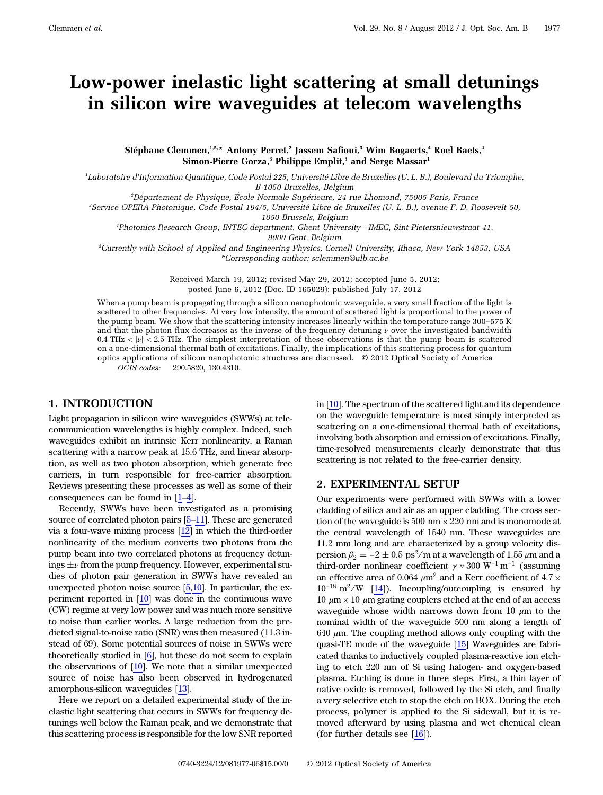# Low-power inelastic light scattering at small detunings in silicon wire waveguides at telecom wavelengths

Stéphane Clemmen,<sup>1,5,\*</sup> Antony Perret,<sup>2</sup> Jassem Safioui,<sup>3</sup> Wim Bogaerts,<sup>4</sup> Roel Baets,<sup>4</sup> Simon-Pierre Gorza,<sup>3</sup> Philippe Emplit,<sup>3</sup> and Serge Massar<sup>1</sup>

1 Laboratoire d'Information Quantique, Code Postal 225, Université Libre de Bruxelles (U. L. B.), Boulevard du Triomphe, B-1050 Bruxelles, Belgium

2 Département de Physique, École Normale Supérieure, 24 rue Lhomond, 75005 Paris, France

3 Service OPERA-Photonique, Code Postal 194/5, Université Libre de Bruxelles (U. L. B.), avenue F. D. Roosevelt 50, 1050 Brussels, Belgium

4 Photonics Research Group, INTEC-department, Ghent University—IMEC, Sint-Pietersnieuwstraat 41,

9000 Gent, Belgium

5 Currently with School of Applied and Engineering Physics, Cornell University, Ithaca, New York 14853, USA \*Corresponding author: sclemmen@ulb.ac.be

> Received March 19, 2012; revised May 29, 2012; accepted June 5, 2012; posted June 6, 2012 (Doc. ID 165029); published July 17, 2012

When a pump beam is propagating through a silicon nanophotonic waveguide, a very small fraction of the light is scattered to other frequencies. At very low intensity, the amount of scattered light is proportional to the power of the pump beam. We show that the scattering intensity increases linearly within the temperature range 300*–*575 K and that the photon flux decreases as the inverse of the frequency detuning  $\nu$  over the investigated bandwidth 0.4 THz  $\langle |\nu| \leq 2.5$  THz. The simplest interpretation of these observations is that the pump beam is scattered on a one-dimensional thermal bath of excitations. Finally, the implications of this scattering process for quantum optics applications of silicon nanophotonic structures are discussed. © 2012 Optical Society of America OCIS codes: 290.5820, 130.4310.

## 1. INTRODUCTION

Light propagation in silicon wire waveguides (SWWs) at telecommunication wavelengths is highly complex. Indeed, such waveguides exhibit an intrinsic Kerr nonlinearity, a Raman scattering with a narrow peak at 15.6 THz, and linear absorption, as well as two photon absorption, which generate free carriers, in turn responsible for free-carrier absorption. Reviews presenting these processes as well as some of their consequences can be found in  $[1-4]$  $[1-4]$  $[1-4]$  $[1-4]$  $[1-4]$ .

Recently, SWWs have been investigated as a promising source of correlated photon pairs [[5](#page-4-2)–[11\]](#page-4-3). These are generated via a four-wave mixing process [\[12](#page-4-4)] in which the third-order nonlinearity of the medium converts two photons from the pump beam into two correlated photons at frequency detunings  $\pm \nu$  from the pump frequency. However, experimental studies of photon pair generation in SWWs have revealed an unexpected photon noise source  $[5,10]$  $[5,10]$ . In particular, the experiment reported in [\[10](#page-4-5)] was done in the continuous wave (CW) regime at very low power and was much more sensitive to noise than earlier works. A large reduction from the predicted signal-to-noise ratio (SNR) was then measured (11.3 instead of 69). Some potential sources of noise in SWWs were theoretically studied in [[6](#page-4-6)], but these do not seem to explain the observations of [\[10](#page-4-5)]. We note that a similar unexpected source of noise has also been observed in hydrogenated amorphous-silicon waveguides [\[13](#page-4-7)].

Here we report on a detailed experimental study of the inelastic light scattering that occurs in SWWs for frequency detunings well below the Raman peak, and we demonstrate that this scattering process is responsible for the low SNR reported in [\[10](#page-4-5)]. The spectrum of the scattered light and its dependence on the waveguide temperature is most simply interpreted as scattering on a one-dimensional thermal bath of excitations, involving both absorption and emission of excitations. Finally, time-resolved measurements clearly demonstrate that this scattering is not related to the free-carrier density.

#### 2. EXPERIMENTAL SETUP

Our experiments were performed with SWWs with a lower cladding of silica and air as an upper cladding. The cross section of the waveguide is 500 nm  $\times$  220 nm and is monomode at the central wavelength of 1540 nm. These waveguides are 11.2 mm long and are characterized by a group velocity dispersion  $β_2 = -2 ± 0.5 \text{ ps}^2/\text{m}$  at a wavelength of 1.55 μm and a third-order nonlinear coefficient  $\gamma \approx 300$   $\mathrm{W^{-1}\,m^{-1}}$  (assuming an effective area of 0.064  $\mu$ m<sup>2</sup> and a Kerr coefficient of 4.7  $\times$  $10^{-18}$  m<sup>2</sup>/W [\[14](#page-4-8)]). Incoupling/outcoupling is ensured by 10  $μ$ m × 10  $μ$ m grating couplers etched at the end of an access waveguide whose width narrows down from 10  $\mu$ m to the nominal width of the waveguide 500 nm along a length of  $640 \mu$ m. The coupling method allows only coupling with the quasi-TE mode of the waveguide [[15\]](#page-4-9) Waveguides are fabricated thanks to inductively coupled plasma-reactive ion etching to etch 220 nm of Si using halogen- and oxygen-based plasma. Etching is done in three steps. First, a thin layer of native oxide is removed, followed by the Si etch, and finally a very selective etch to stop the etch on BOX. During the etch process, polymer is applied to the Si sidewall, but it is removed afterward by using plasma and wet chemical clean (for further details see  $[16]$  $[16]$ ).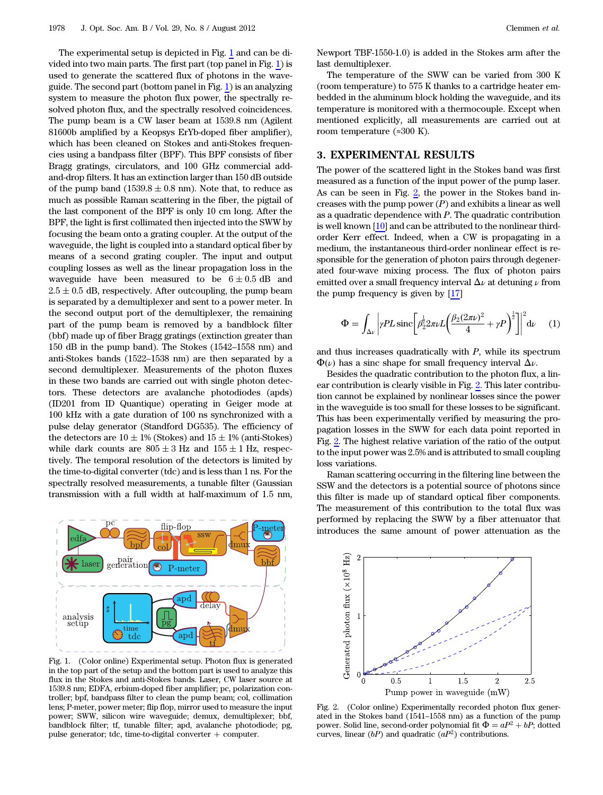The experimental setup is depicted in Fig. [1](#page-1-0) and can be divided into two main parts. The first part (top panel in Fig. [1](#page-1-0)) is used to generate the scattered flux of photons in the waveguide. The second part (bottom panel in Fig. [1\)](#page-1-0) is an analyzing system to measure the photon flux power, the spectrally resolved photon flux, and the spectrally resolved coincidences. The pump beam is a CW laser beam at 1539.8 nm (Agilent 81600b amplified by a Keopsys ErYb-doped fiber amplifier), which has been cleaned on Stokes and anti-Stokes frequencies using a bandpass filter (BPF). This BPF consists of fiber Bragg gratings, circulators, and 100 GHz commercial addand-drop filters. It has an extinction larger than 150 dB outside of the pump band  $(1539.8 \pm 0.8 \text{ nm})$ . Note that, to reduce as much as possible Raman scattering in the fiber, the pigtail of the last component of the BPF is only 10 cm long. After the BPF, the light is first collimated then injected into the SWW by focusing the beam onto a grating coupler. At the output of the waveguide, the light is coupled into a standard optical fiber by means of a second grating coupler. The input and output coupling losses as well as the linear propagation loss in the waveguide have been measured to be  $6 \pm 0.5$  dB and  $2.5 \pm 0.5$  dB, respectively. After outcoupling, the pump beam is separated by a demultiplexer and sent to a power meter. In the second output port of the demultiplexer, the remaining part of the pump beam is removed by a bandblock filter (bbf) made up of fiber Bragg gratings (extinction greater than 150 dB in the pump band). The Stokes (1542–1558 nm) and anti-Stokes bands (1522–1538 nm) are then separated by a second demultiplexer. Measurements of the photon fluxes in these two bands are carried out with single photon detectors. These detectors are avalanche photodiodes (apds) (ID201 from ID Quantique) operating in Geiger mode at 100 kHz with a gate duration of 100 ns synchronized with a pulse delay generator (Standford DG535). The efficiency of the detectors are  $10 \pm 1\%$  (Stokes) and  $15 \pm 1\%$  (anti-Stokes) while dark counts are  $805 \pm 3$  Hz and  $155 \pm 1$  Hz, respectively. The temporal resolution of the detectors is limited by the time-to-digital converter (tdc) and is less than 1 ns. For the spectrally resolved measurements, a tunable filter (Gaussian transmission with a full width at half-maximum of 1.5 nm,

<span id="page-1-0"></span>

Fig. 1. (Color online) Experimental setup. Photon flux is generated in the top part of the setup and the bottom part is used to analyze this flux in the Stokes and anti-Stokes bands. Laser, CW laser source at 1539.8 nm; EDFA, erbium-doped fiber amplifier; pc, polarization controller; bpf, bandpass filter to clean the pump beam; col, collimation lens; P-meter, power meter; flip flop, mirror used to measure the input power; SWW, silicon wire waveguide; demux, demultiplexer; bbf, bandblock filter; tf, tunable filter; apd, avalanche photodiode; pg, pulse generator; tdc, time-to-digital converter  $+$  computer.

Newport TBF-1550-1.0) is added in the Stokes arm after the last demultiplexer.

The temperature of the SWW can be varied from 300 K (room temperature) to 575 K thanks to a cartridge heater embedded in the aluminum block holding the waveguide, and its temperature is monitored with a thermocouple. Except when mentioned explicitly, all measurements are carried out at room temperature (≈300 K).

#### 3. EXPERIMENTAL RESULTS

The power of the scattered light in the Stokes band was first measured as a function of the input power of the pump laser. As can be seen in Fig. [2,](#page-1-1) the power in the Stokes band increases with the pump power  $(P)$  and exhibits a linear as well as a quadratic dependence with P. The quadratic contribution is well known [\[10](#page-4-5)] and can be attributed to the nonlinear thirdorder Kerr effect. Indeed, when a CW is propagating in a medium, the instantaneous third-order nonlinear effect is responsible for the generation of photon pairs through degenerated four-wave mixing process. The flux of photon pairs emitted over a small frequency interval  $\Delta \nu$  at detuning  $\nu$  from the pump frequency is given by [[17\]](#page-5-0)

<span id="page-1-2"></span>
$$
\Phi = \int_{\Delta \nu} \left| \gamma P L \operatorname{sinc} \left[ \beta_2^{\frac{1}{2}} 2 \pi \nu L \left( \frac{\beta_2 (2 \pi \nu)^2}{4} + \gamma P \right)^{\frac{1}{2}} \right] \right|^2 \mathrm{d} \nu \tag{1}
$$

and thus increases quadratically with  $P$ , while its spectrum  $\Phi(\nu)$  has a sinc shape for small frequency interval  $\Delta \nu$ .

Besides the quadratic contribution to the photon flux, a linear contribution is clearly visible in Fig. [2.](#page-1-1) This later contribution cannot be explained by nonlinear losses since the power in the waveguide is too small for these losses to be significant. This has been experimentally verified by measuring the propagation losses in the SWW for each data point reported in Fig. [2.](#page-1-1) The highest relative variation of the ratio of the output to the input power was 2.5% and is attributed to small coupling loss variations.

Raman scattering occurring in the filtering line between the SSW and the detectors is a potential source of photons since this filter is made up of standard optical fiber components. The measurement of this contribution to the total flux was performed by replacing the SWW by a fiber attenuator that introduces the same amount of power attenuation as the

<span id="page-1-1"></span>

Fig. 2. (Color online) Experimentally recorded photon flux generated in the Stokes band (1541–1558 nm) as a function of the pump power. Solid line, second-order polynomial fit  $\Phi = aP^2 + bP$ ; dotted curves, linear  $(bP)$  and quadratic  $(aP^2)$  contributions.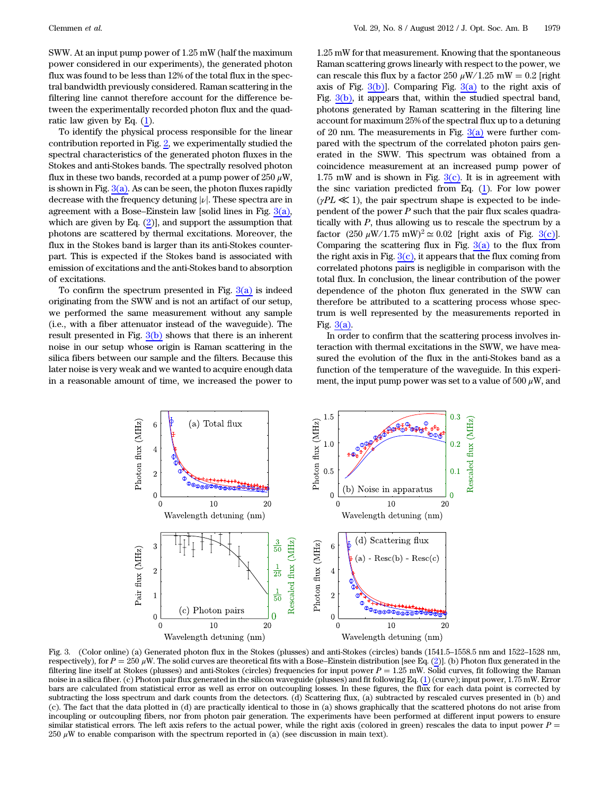SWW. At an input pump power of 1.25 mW (half the maximum power considered in our experiments), the generated photon flux was found to be less than 12% of the total flux in the spectral bandwidth previously considered. Raman scattering in the filtering line cannot therefore account for the difference between the experimentally recorded photon flux and the quadratic law given by Eq. [\(1](#page-1-2)).

To identify the physical process responsible for the linear contribution reported in Fig.  $2$ , we experimentally studied the spectral characteristics of the generated photon fluxes in the Stokes and anti-Stokes bands. The spectrally resolved photon flux in these two bands, recorded at a pump power of 250  $\mu$ W, is shown in Fig.  $3(a)$ . As can be seen, the photon fluxes rapidly decrease with the frequency detuning  $|\nu|$ . These spectra are in agreement with a Bose–Einstein law [solid lines in Fig.  $3(a)$ , which are given by Eq.  $(2)$ ], and support the assumption that photons are scattered by thermal excitations. Moreover, the flux in the Stokes band is larger than its anti-Stokes counterpart. This is expected if the Stokes band is associated with emission of excitations and the anti-Stokes band to absorption of excitations.

To confirm the spectrum presented in Fig.  $3(a)$  is indeed originating from the SWW and is not an artifact of our setup, we performed the same measurement without any sample (i.e., with a fiber attenuator instead of the waveguide). The result presented in Fig.  $3(b)$  shows that there is an inherent noise in our setup whose origin is Raman scattering in the silica fibers between our sample and the filters. Because this later noise is very weak and we wanted to acquire enough data in a reasonable amount of time, we increased the power to

1.25 mW for that measurement. Knowing that the spontaneous Raman scattering grows linearly with respect to the power, we can rescale this flux by a factor 250  $\mu$ W/1.25 mW = 0.2 [right axis of Fig.  $3(b)$ ]. Comparing Fig.  $3(a)$  to the right axis of Fig. [3\(b\),](#page-2-0) it appears that, within the studied spectral band, photons generated by Raman scattering in the filtering line account for maximum 25% of the spectral flux up to a detuning of 20 nm. The measurements in Fig.  $3(a)$  were further compared with the spectrum of the correlated photon pairs generated in the SWW. This spectrum was obtained from a coincidence measurement at an increased pump power of 1.75 mW and is shown in Fig.  $3(c)$ . It is in agreement with the sinc variation predicted from Eq. ([1](#page-1-2)). For low power  $(\gamma PL \ll 1)$ , the pair spectrum shape is expected to be independent of the power  $P$  such that the pair flux scales quadratically with  $P$ , thus allowing us to rescale the spectrum by a factor  $(250 \ \mu\text{W}/1.75 \ \text{mW})^2 \simeq 0.02$  [right axis of Fig. [3\(c\)\]](#page-2-0). Comparing the scattering flux in Fig.  $3(a)$  to the flux from the right axis in Fig.  $3(c)$ , it appears that the flux coming from correlated photons pairs is negligible in comparison with the total flux. In conclusion, the linear contribution of the power dependence of the photon flux generated in the SWW can therefore be attributed to a scattering process whose spectrum is well represented by the measurements reported in Fig. [3\(a\).](#page-2-0)

In order to confirm that the scattering process involves interaction with thermal excitations in the SWW, we have measured the evolution of the flux in the anti-Stokes band as a function of the temperature of the waveguide. In this experiment, the input pump power was set to a value of 500  $\mu$ W, and

<span id="page-2-0"></span>

Fig. 3. (Color online) (a) Generated photon flux in the Stokes (plusses) and anti-Stokes (circles) bands (1541.5–1558.5 nm and 1522–1528 nm, rig. 5. (Color of the p (a) defierated photon flux in the stokes (phasses) and anti-stokes (circles) bands (1541.5–1556.5 hin and 1522–1526 hin,<br>respectively), for  $P = 250 \mu$ W. The solid curves are theoretical fits with filtering line itself at Stokes (plusses) and anti-Stokes (circles) frequencies for input power  $P = 1.25$  mW. Solid curves, fit following the Raman noise in a silica fiber. (c) Photon pair flux generated in the silicon waveguide (plusses) and fit following Eq. [\(1](#page-1-2)) (curve); input power, 1.75 mW. Error bars are calculated from statistical error as well as error on outcoupling losses. In these figures, the flux for each data point is corrected by subtracting the loss spectrum and dark counts from the detectors. (d) Scattering flux, (a) subtracted by rescaled curves presented in (b) and (c). The fact that the data plotted in (d) are practically identical to those in (a) shows graphically that the scattered photons do not arise from incoupling or outcoupling fibers, nor from photon pair generation. The experiments have been performed at different input powers to ensure similar statistical errors. The left axis refers to the actual power, while the right axis (colored in green) rescales the data to input power  $P =$ 250  $\mu$ W to enable comparison with the spectrum reported in (a) (see discussion in main text).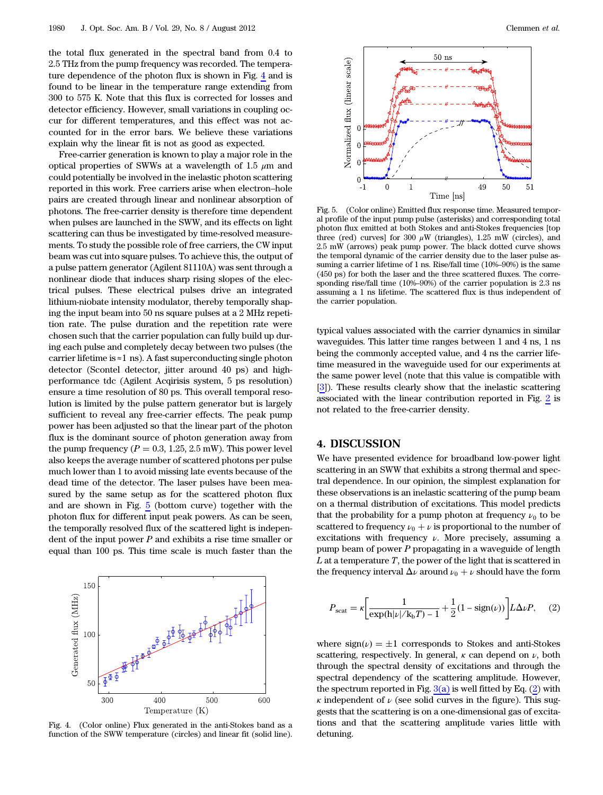the total flux generated in the spectral band from 0.4 to 2.5 THz from the pump frequency was recorded. The temperature dependence of the photon flux is shown in Fig. [4](#page-3-1) and is found to be linear in the temperature range extending from 300 to 575 K. Note that this flux is corrected for losses and detector efficiency. However, small variations in coupling occur for different temperatures, and this effect was not accounted for in the error bars. We believe these variations explain why the linear fit is not as good as expected.

Free-carrier generation is known to play a major role in the optical properties of SWWs at a wavelength of 1.5  $\mu$ m and could potentially be involved in the inelastic photon scattering reported in this work. Free carriers arise when electron–hole pairs are created through linear and nonlinear absorption of photons. The free-carrier density is therefore time dependent when pulses are launched in the SWW, and its effects on light scattering can thus be investigated by time-resolved measurements. To study the possible role of free carriers, the CW input beam was cut into square pulses. To achieve this, the output of a pulse pattern generator (Agilent 81110A) was sent through a nonlinear diode that induces sharp rising slopes of the electrical pulses. These electrical pulses drive an integrated lithium-niobate intensity modulator, thereby temporally shaping the input beam into 50 ns square pulses at a 2 MHz repetition rate. The pulse duration and the repetition rate were chosen such that the carrier population can fully build up during each pulse and completely decay between two pulses (the carrier lifetime is  $\approx$ 1 ns). A fast superconducting single photon detector (Scontel detector, jitter around 40 ps) and highperformance tdc (Agilent Acqirisis system, 5 ps resolution) ensure a time resolution of 80 ps. This overall temporal resolution is limited by the pulse pattern generator but is largely sufficient to reveal any free-carrier effects. The peak pump power has been adjusted so that the linear part of the photon flux is the dominant source of photon generation away from the pump frequency  $(P = 0.3, 1.25, 2.5 \text{ mW})$ . This power level also keeps the average number of scattered photons per pulse much lower than 1 to avoid missing late events because of the dead time of the detector. The laser pulses have been measured by the same setup as for the scattered photon flux and are shown in Fig. [5](#page-3-2) (bottom curve) together with the photon flux for different input peak powers. As can be seen, the temporally resolved flux of the scattered light is independent of the input power  $P$  and exhibits a rise time smaller or equal than 100 ps. This time scale is much faster than the

<span id="page-3-1"></span>

Fig. 4. (Color online) Flux generated in the anti-Stokes band as a function of the SWW temperature (circles) and linear fit (solid line).

<span id="page-3-2"></span>

Fig. 5. (Color online) Emitted flux response time. Measured temporal profile of the input pump pulse (asterisks) and corresponding total photon flux emitted at both Stokes and anti-Stokes frequencies [top three (red) curves] for 300  $\mu$ W (triangles), 1.25 mW (circles), and 2.5 mW (arrows) peak pump power. The black dotted curve shows the temporal dynamic of the carrier density due to the laser pulse assuming a carrier lifetime of 1 ns. Rise/fall time (10%–90%) is the same (450 ps) for both the laser and the three scattered fluxes. The corresponding rise/fall time (10%–90%) of the carrier population is 2.3 ns assuming a 1 ns lifetime. The scattered flux is thus independent of the carrier population.

typical values associated with the carrier dynamics in similar waveguides. This latter time ranges between 1 and 4 ns, 1 ns being the commonly accepted value, and 4 ns the carrier lifetime measured in the waveguide used for our experiments at the same power level (note that this value is compatible with [[3](#page-4-11)]). These results clearly show that the inelastic scattering associated with the linear contribution reported in Fig. [2](#page-1-1) is not related to the free-carrier density.

## 4. DISCUSSION

We have presented evidence for broadband low-power light scattering in an SWW that exhibits a strong thermal and spectral dependence. In our opinion, the simplest explanation for these observations is an inelastic scattering of the pump beam on a thermal distribution of excitations. This model predicts that the probability for a pump photon at frequency  $\nu_0$  to be scattered to frequency  $\nu_0 + \nu$  is proportional to the number of excitations with frequency  $\nu$ . More precisely, assuming a pump beam of power P propagating in a waveguide of length  $L$  at a temperature  $T$ , the power of the light that is scattered in the frequency interval  $\Delta \nu$  around  $\nu_0 + \nu$  should have the form

<span id="page-3-0"></span>
$$
P_{\text{scat}} = \kappa \bigg[ \frac{1}{\exp(\mathbf{h}|\nu|/k_{\text{b}}T) - 1} + \frac{1}{2} (1 - \text{sign}(\nu)) \bigg] L \Delta \nu P, \quad (2)
$$

where  $sign(\nu) = \pm 1$  corresponds to Stokes and anti-Stokes scattering, respectively. In general,  $\kappa$  can depend on  $\nu$ , both through the spectral density of excitations and through the spectral dependency of the scattering amplitude. However, the spectrum reported in Fig.  $3(a)$  is well fitted by Eq.  $(2)$  $(2)$  $(2)$  with  $\kappa$  independent of  $\nu$  (see solid curves in the figure). This suggests that the scattering is on a one-dimensional gas of excitations and that the scattering amplitude varies little with detuning.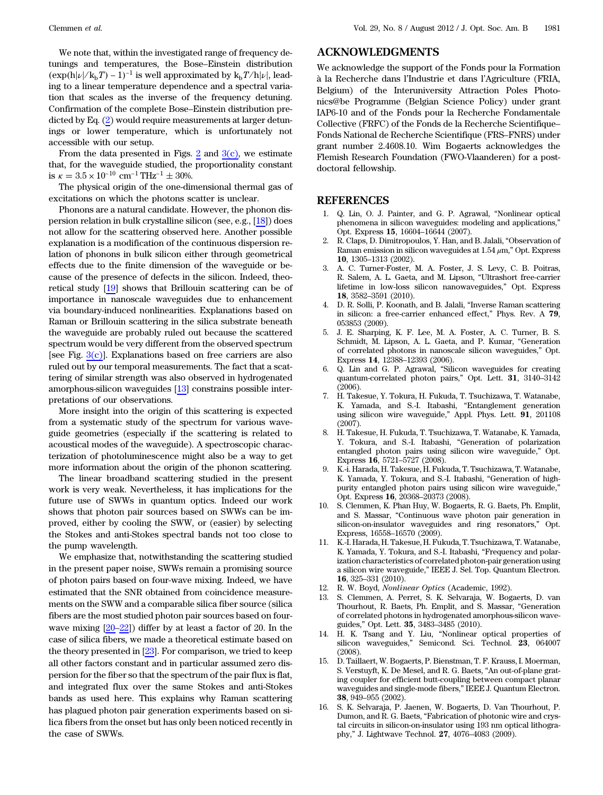We note that, within the investigated range of frequency detunings and temperatures, the Bose–Einstein distribution  $(\exp(h|\nu|/k_bT) - 1)^{-1}$  is well approximated by  $k_bT/h|\nu|$ , leading to a linear temperature dependence and a spectral variation that scales as the inverse of the frequency detuning. Confirmation of the complete Bose–Einstein distribution predicted by Eq. ([2\)](#page-3-0) would require measurements at larger detunings or lower temperature, which is unfortunately not accessible with our setup.

From the data presented in Figs. [2](#page-1-1) and  $3(c)$ , we estimate that, for the waveguide studied, the proportionality constant is  $\kappa = 3.5 \times 10^{-10}$  cm<sup>-1</sup> THz<sup>-1</sup> ± 30%.

The physical origin of the one-dimensional thermal gas of excitations on which the photons scatter is unclear.

Phonons are a natural candidate. However, the phonon dispersion relation in bulk crystalline silicon (see, e.g., [\[18](#page-5-1)]) does not allow for the scattering observed here. Another possible explanation is a modification of the continuous dispersion relation of phonons in bulk silicon either through geometrical effects due to the finite dimension of the waveguide or because of the presence of defects in the silicon. Indeed, theoretical study [[19\]](#page-5-2) shows that Brillouin scattering can be of importance in nanoscale waveguides due to enhancement via boundary-induced nonlinearities. Explanations based on Raman or Brillouin scattering in the silica substrate beneath the waveguide are probably ruled out because the scattered spectrum would be very different from the observed spectrum [see Fig.  $3(c)$ ]. Explanations based on free carriers are also ruled out by our temporal measurements. The fact that a scattering of similar strength was also observed in hydrogenated amorphous-silicon waveguides [\[13](#page-4-7)] constrains possible interpretations of our observations.

More insight into the origin of this scattering is expected from a systematic study of the spectrum for various waveguide geometries (especially if the scattering is related to acoustical modes of the waveguide). A spectroscopic characterization of photoluminescence might also be a way to get more information about the origin of the phonon scattering.

The linear broadband scattering studied in the present work is very weak. Nevertheless, it has implications for the future use of SWWs in quantum optics. Indeed our work shows that photon pair sources based on SWWs can be improved, either by cooling the SWW, or (easier) by selecting the Stokes and anti-Stokes spectral bands not too close to the pump wavelength.

We emphasize that, notwithstanding the scattering studied in the present paper noise, SWWs remain a promising source of photon pairs based on four-wave mixing. Indeed, we have estimated that the SNR obtained from coincidence measurements on the SWW and a comparable silica fiber source (silica fibers are the most studied photon pair sources based on fourwave mixing [\[20](#page-5-3)–[22\]](#page-5-4)) differ by at least a factor of 20. In the case of silica fibers, we made a theoretical estimate based on the theory presented in [[23\]](#page-5-5). For comparison, we tried to keep all other factors constant and in particular assumed zero dispersion for the fiber so that the spectrum of the pair flux is flat, and integrated flux over the same Stokes and anti-Stokes bands as used here. This explains why Raman scattering has plagued photon pair generation experiments based on silica fibers from the onset but has only been noticed recently in the case of SWWs.

### ACKNOWLEDGMENTS

We acknowledge the support of the Fonds pour la Formation à la Recherche dans l'Industrie et dans l'Agriculture (FRIA, Belgium) of the Interuniversity Attraction Poles Photonics@be Programme (Belgian Science Policy) under grant IAP6-10 and of the Fonds pour la Recherche Fondamentale Collective (FRFC) of the Fonds de la Recherche Scientifique– Fonds National de Recherche Scientifique (FRS–FNRS) under grant number 2.4608.10. Wim Bogaerts acknowledges the Flemish Research Foundation (FWO-Vlaanderen) for a postdoctoral fellowship.

#### <span id="page-4-0"></span>REFERENCES

- 1. Q. Lin, O. J. Painter, and G. P. Agrawal, "Nonlinear optical phenomena in silicon waveguides: modeling and applications," Opt. Express <sup>15</sup>, 16604–16644 (2007).
- 2. R. Claps, D. Dimitropoulos, Y. Han, and B. Jalali, "Observation of Raman emission in silicon waveguides at  $1.54 \mu m$ ," Opt. Express <sup>10</sup>, 1305–1313 (2002).
- <span id="page-4-11"></span>3. A. C. Turner-Foster, M. A. Foster, J. S. Levy, C. B. Poitras, R. Salem, A. L. Gaeta, and M. Lipson, "Ultrashort free-carrier lifetime in low-loss silicon nanowaveguides," Opt. Express <sup>18</sup>, 3582–3591 (2010).
- <span id="page-4-2"></span><span id="page-4-1"></span>4. D. R. Solli, P. Koonath, and B. Jalali, "Inverse Raman scattering in silicon: a free-carrier enhanced effect," Phys. Rev. A <sup>79</sup>, 053853 (2009).
- 5. J. E. Sharping, K. F. Lee, M. A. Foster, A. C. Turner, B. S. Schmidt, M. Lipson, A. L. Gaeta, and P. Kumar, "Generation of correlated photons in nanoscale silicon waveguides," Opt. Express <sup>14</sup>, 12388–12393 (2006).
- <span id="page-4-6"></span>6. Q. Lin and G. P. Agrawal, "Silicon waveguides for creating quantum-correlated photon pairs," Opt. Lett. <sup>31</sup>, 3140–<sup>3142</sup> (2006).
- 7. H. Takesue, Y. Tokura, H. Fukuda, T. Tsuchizawa, T. Watanabe, K. Yamada, and S.-I. Itabashi, "Entanglement generation using silicon wire waveguide," Appl. Phys. Lett. <sup>91</sup>, 201108 (2007).
- 8. H. Takesue, H. Fukuda, T. Tsuchizawa, T. Watanabe, K. Yamada, Y. Tokura, and S.-I. Itabashi, "Generation of polarization entangled photon pairs using silicon wire waveguide," Opt. Express <sup>16</sup>, 5721–5727 (2008).
- 9. K.-i. Harada, H. Takesue, H. Fukuda, T. Tsuchizawa, T. Watanabe, K. Yamada, Y. Tokura, and S.-I. Itabashi, "Generation of highpurity entangled photon pairs using silicon wire waveguide," Opt. Express <sup>16</sup>, 20368–20373 (2008).
- <span id="page-4-5"></span>10. S. Clemmen, K. Phan Huy, W. Bogaerts, R. G. Baets, Ph. Emplit, and S. Massar, "Continuous wave photon pair generation in silicon-on-insulator waveguides and ring resonators," Opt. Express, 16558–16570 (2009).
- <span id="page-4-3"></span>11. K.-I. Harada, H. Takesue, H. Fukuda, T. Tsuchizawa, T.Watanabe, K. Yamada, Y. Tokura, and S.-I. Itabashi, "Frequency and polarization characteristics of correlated photon-pair generation using a silicon wire waveguide," IEEE J. Sel. Top. Quantum Electron. <sup>16</sup>, 325–331 (2010).
- <span id="page-4-7"></span><span id="page-4-4"></span>12. R. W. Boyd, Nonlinear Optics (Academic, 1992).
- 13. S. Clemmen, A. Perret, S. K. Selvaraja, W. Bogaerts, D. van Thourhout, R. Baets, Ph. Emplit, and S. Massar, "Generation of correlated photons in hydrogenated amorphous-silicon waveguides," Opt. Lett. <sup>35</sup>, 3483–3485 (2010).
- <span id="page-4-9"></span><span id="page-4-8"></span>14. H. K. Tsang and Y. Liu, "Nonlinear optical properties of silicon waveguides," Semicond. Sci. Technol. <sup>23</sup>, 064007 (2008).
- 15. D. Taillaert, W. Bogaerts, P. Bienstman, T. F. Krauss, I. Moerman, S. Verstuyft, K. De Mesel, and R. G. Baets, "An out-of-plane grating coupler for efficient butt-coupling between compact planar waveguides and single-mode fibers," IEEE J. Quantum Electron. <sup>38</sup>, 949–955 (2002).
- <span id="page-4-10"></span>16. S. K. Selvaraja, P. Jaenen, W. Bogaerts, D. Van Thourhout, P. Dumon, and R. G. Baets, "Fabrication of photonic wire and crystal circuits in silicon-on-insulator using 193 nm optical lithography," J. Lightwave Technol. <sup>27</sup>, 4076–4083 (2009).